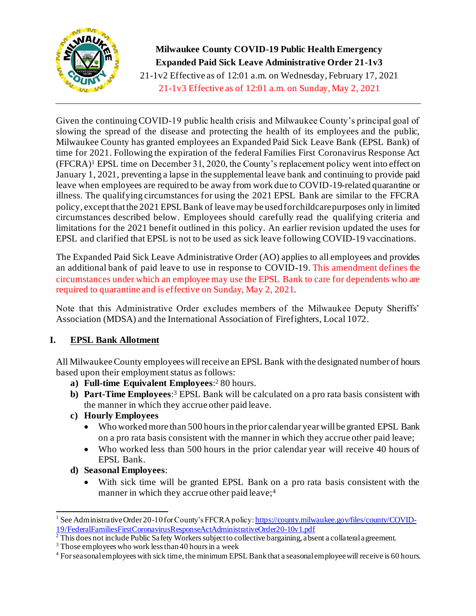

**Milwaukee County COVID-19 Public Health Emergency Expanded Paid Sick Leave Administrative Order 21-1v3** 21-1v2 Effective as of 12:01 a.m. on Wednesday, February 17, 2021 21-1v3 Effective as of 12:01 a.m. on Sunday, May 2, 2021

Given the continuing COVID-19 public health crisis and Milwaukee County's principal goal of slowing the spread of the disease and protecting the health of its employees and the public, Milwaukee County has granted employees an Expanded Paid Sick Leave Bank (EPSL Bank) of time for 2021. Following the expiration of the federal Families First Coronavirus Response Act (FFCRA)<sup>1</sup> EPSL time on December 31, 2020, the County's replacement policy went into effect on January 1, 2021, preventing a lapse in the supplemental leave bank and continuing to provide paid leave when employees are required to be away from work due to COVID-19-related quarantine or illness. The qualifying circumstances for using the 2021 EPSL Bank are similar to the FFCRA policy, except that the 2021 EPSL Bank of leave may be used for childcare purposes only in limited circumstances described below. Employees should carefully read the qualifying criteria and limitations for the 2021 benefit outlined in this policy. An earlier revision updated the uses for EPSL and clarified that EPSL is not to be used as sick leave following COVID-19 vaccinations.

The Expanded Paid Sick Leave Administrative Order (AO) applies to all employees and provides an additional bank of paid leave to use in response to COVID-19. This amendment defines the circumstances under which an employee may use the EPSL Bank to care for dependents who are required to quarantine and is effective on Sunday, May 2, 2021.

Note that this Administrative Order excludes members of the Milwaukee Deputy Sheriffs' Association (MDSA) and the International Association of Firefighters, Local 1072.

# **I. EPSL Bank Allotment**

All Milwaukee County employees will receive an EPSL Bank with the designated number of hours based upon their employment status as follows:

- **a) Full-time Equivalent Employees**: <sup>2</sup> 80 hours.
- **b) Part-Time Employees**: <sup>3</sup> EPSL Bank will be calculated on a pro rata basis consistent with the manner in which they accrue other paid leave.
- **c) Hourly Employees** 
	- Who worked more than 500 hours in the prior calendar year will be granted EPSL Bank on a pro rata basis consistent with the manner in which they accrue other paid leave;
	- Who worked less than 500 hours in the prior calendar year will receive 40 hours of EPSL Bank.
- **d) Seasonal Employees**:
	- With sick time will be granted EPSL Bank on a pro rata basis consistent with the manner in which they accrue other paid leave;<sup>4</sup>

<sup>&</sup>lt;sup>1</sup> See Administrative Order 20-10 for County's FFCRA policy[: https://county.milwaukee.gov/files/county/COVID-](https://county.milwaukee.gov/files/county/COVID-19/FederalFamiliesFirstCoronavirusResponseActAdministrativeOrder20-10v1.pdf)[19/FederalFamiliesFirstCoronavirusResponseActAdministrativeOrder20-10v1.pdf](https://county.milwaukee.gov/files/county/COVID-19/FederalFamiliesFirstCoronavirusResponseActAdministrativeOrder20-10v1.pdf)

 $^2$  This does not include Public Safety Workers subject to collective bargaining, absent a collateral agreement.

<sup>3</sup> Those employees who work less than 40 hours in a week

<sup>&</sup>lt;sup>4</sup> For seasonal employees with sick time, the minimum EPSL Bank that a seasonal employee will receive is 60 hours.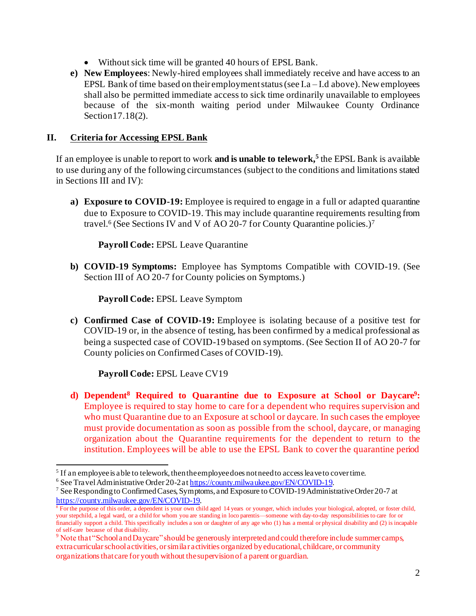- Without sick time will be granted 40 hours of EPSL Bank.
- **e) New Employees**: Newly-hired employees shall immediately receive and have access to an EPSL Bank of time based on their employment status (see I.a – I.d above). New employees shall also be permitted immediate access to sick time ordinarily unavailable to employees because of the six-month waiting period under Milwaukee County Ordinance Section 17.18(2).

#### **II. Criteria for Accessing EPSL Bank**

If an employee is unable to report to work **and is unable to telework, 5** the EPSL Bank is available to use during any of the following circumstances (subject to the conditions and limitations stated in Sections III and IV):

**a) Exposure to COVID-19:** Employee is required to engage in a full or adapted quarantine due to Exposure to COVID-19. This may include quarantine requirements resulting from travel.<sup>6</sup> (See Sections IV and V of AO 20-7 for County Quarantine policies.)<sup>7</sup>

**Payroll Code:** EPSL Leave Quarantine

**b) COVID-19 Symptoms:** Employee has Symptoms Compatible with COVID-19. (See Section III of AO 20-7 for County policies on Symptoms.)

**Payroll Code:** EPSL Leave Symptom

**c) Confirmed Case of COVID-19:** Employee is isolating because of a positive test for COVID-19 or, in the absence of testing, has been confirmed by a medical professional as being a suspected case of COVID-19 based on symptoms. (See Section II of AO 20-7 for County policies on Confirmed Cases of COVID-19).

**Payroll Code:** EPSL Leave CV19

**d) Dependent<sup>8</sup> Required to Quarantine due to Exposure at School or Daycare<sup>9</sup> :**  Employee is required to stay home to care for a dependent who requires supervision and who must Quarantine due to an Exposure at school or daycare. In such cases the employee must provide documentation as soon as possible from the school, daycare, or managing organization about the Quarantine requirements for the dependent to return to the institution. Employees will be able to use the EPSL Bank to cover the quarantine period

 $<sup>5</sup>$  If an employee is able to telework, then the employee does not need to access leave to cover time.</sup>

<sup>6</sup> See Travel Administrative Order 20-2a[t https://county.milwaukee.gov/EN/COVID-19](https://county.milwaukee.gov/EN/COVID-19).

<sup>7</sup> See Responding to Confirmed Cases, Symptoms, and Exposure to COVID-19 Administrative Order 20-7 at <https://county.milwaukee.gov/EN/COVID-19>.

<sup>&</sup>lt;sup>8</sup> For the purpose of this order, a dependent is your own child aged 14 years or younger, which includes your biological, adopted, or foster child, your stepchild, a legal ward, or a child for whom you are standing in loco parentis—someone with day-to-day responsibilities to care for or financially support a child. This specifically includes a son or daughter of any age who (1) has a mental or physical disability and (2) is incapable of self-care because of that disability.

<sup>&</sup>lt;sup>9</sup> Note that "School and Daycare" should be generously interpreted and could therefore include summer camps, extracurricularschool activities, or similar activities organized by educational, childcare, or community organizations that care for youth without the supervision of a parent or guardian.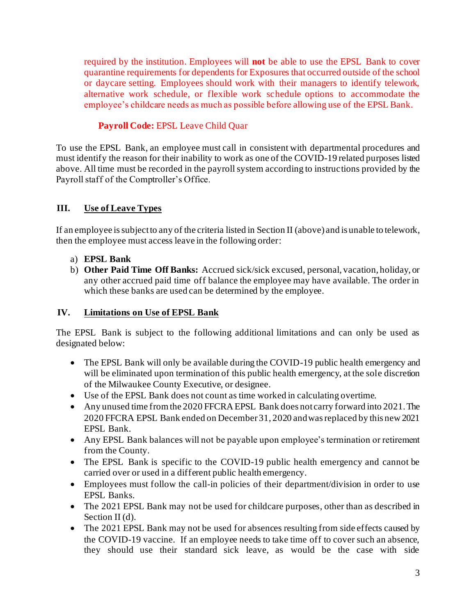required by the institution. Employees will **not** be able to use the EPSL Bank to cover quarantine requirements for dependents for Exposures that occurred outside of the school or daycare setting. Employees should work with their managers to identify telework, alternative work schedule, or flexible work schedule options to accommodate the employee's childcare needs as much as possible before allowing use of the EPSL Bank.

### **Payroll Code:** EPSL Leave Child Quar

To use the EPSL Bank, an employee must call in consistent with departmental procedures and must identify the reason for their inability to work as one of the COVID-19 related purposes listed above. All time must be recorded in the payroll system according to instructions provided by the Payroll staff of the Comptroller's Office.

## **III. Use of Leave Types**

If an employee is subject to any of the criteria listed in Section II (above) and is unable to telework, then the employee must access leave in the following order:

- a) **EPSL Bank**
- b) **Other Paid Time Off Banks:** Accrued sick/sick excused, personal, vacation, holiday, or any other accrued paid time off balance the employee may have available. The order in which these banks are used can be determined by the employee.

### **IV. Limitations on Use of EPSL Bank**

The EPSL Bank is subject to the following additional limitations and can only be used as designated below:

- The EPSL Bank will only be available during the COVID-19 public health emergency and will be eliminated upon termination of this public health emergency, at the sole discretion of the Milwaukee County Executive, or designee.
- Use of the EPSL Bank does not count as time worked in calculating overtime.
- Any unused time from the 2020 FFCRA EPSL Bank does not carry forward into 2021. The 2020 FFCRA EPSL Bank ended on December 31, 2020 and wasreplaced by this new 2021 EPSL Bank.
- Any EPSL Bank balances will not be payable upon employee's termination or retirement from the County.
- The EPSL Bank is specific to the COVID-19 public health emergency and cannot be carried over or used in a different public health emergency.
- Employees must follow the call-in policies of their department/division in order to use EPSL Banks.
- The 2021 EPSL Bank may not be used for childcare purposes, other than as described in Section II (d).
- The 2021 EPSL Bank may not be used for absences resulting from side effects caused by the COVID-19 vaccine. If an employee needs to take time off to cover such an absence, they should use their standard sick leave, as would be the case with side